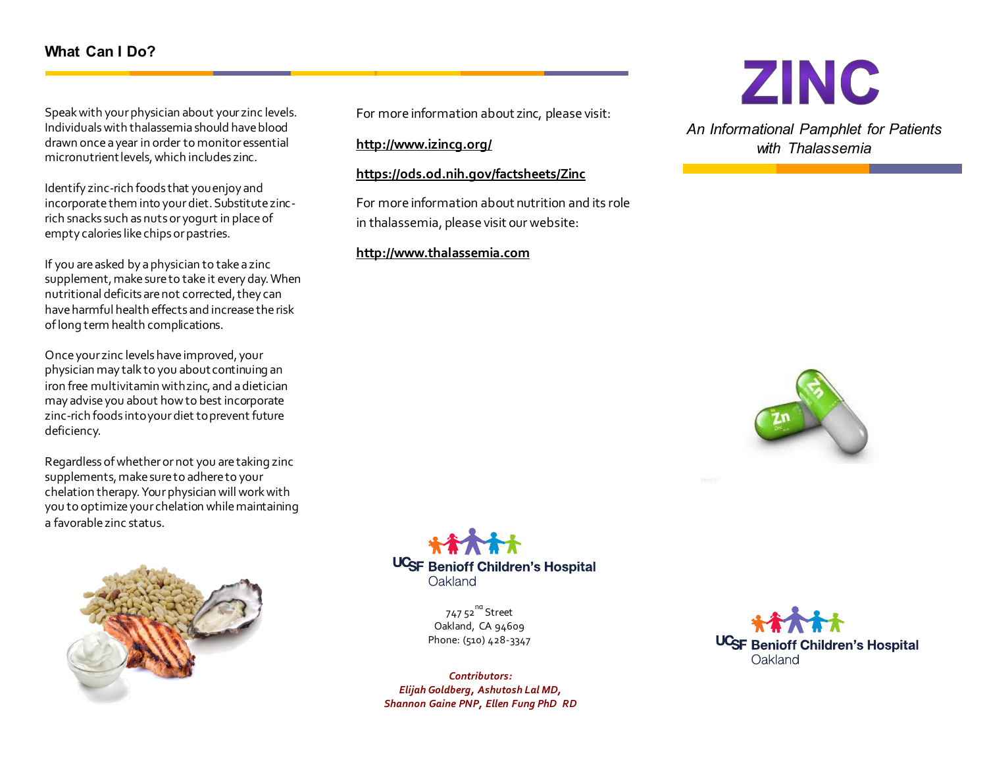# **What Can I Do?**

Speak with your physician about your zinc levels. Individuals with thalassemia should have blood drawn once a year in order to monitor essential micronutrient levels, which includes zinc.

Identify zinc-rich foods that you enjoy and incorporate them into your diet. Substitute zincrich snacks such as nuts or yogurt in place of empty calories like chips or pastries.

If you are asked by a physician to take a zinc supplement, make sure to take it every day. When nutritional deficits are not corrected, they can have harmful health effects and increase the risk of long term health complications.

Once your zinc levels have improved, your physician may talk to you about continuing an iron free multivitamin with zinc, and a dietician may advise you about how to best incorporate zinc-rich foods into your diet to prevent future deficiency.

Regardless of whether or not you are taking zinc supplements, make sure to adhere to your chelation therapy. Your physician will work with you to optimize your chelation while maintaining a favorable zinc status.



For more information about zinc, please visit:

**<http://www.izincg.org/>**

**<https://ods.od.nih.gov/factsheets/Zinc>**

For more information about nutrition and its role in thalassemia, please visit our website:

#### **[http://www.thalassemia.](http://www.thalassemia/)com**



*An Informational Pamphlet for Patients with Thalassemia*





747 52<sup>nd</sup> Street Oakland, CA 94609 Phone: (510) 428-3347

*Contributors: Elijah Goldberg, Ashutosh Lal MD, Shannon Gaine PNP, Ellen Fung PhD RD*